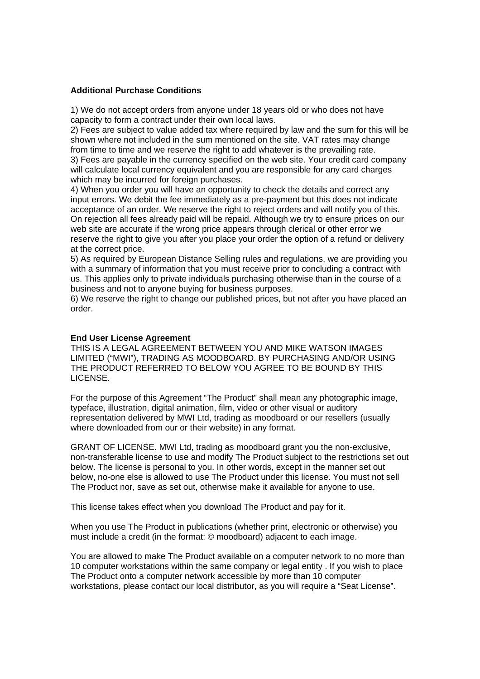### **Additional Purchase Conditions**

1) We do not accept orders from anyone under 18 years old or who does not have capacity to form a contract under their own local laws.

2) Fees are subject to value added tax where required by law and the sum for this will be shown where not included in the sum mentioned on the site. VAT rates may change from time to time and we reserve the right to add whatever is the prevailing rate.

3) Fees are payable in the currency specified on the web site. Your credit card company will calculate local currency equivalent and you are responsible for any card charges which may be incurred for foreign purchases.

4) When you order you will have an opportunity to check the details and correct any input errors. We debit the fee immediately as a pre-payment but this does not indicate acceptance of an order. We reserve the right to reject orders and will notify you of this. On rejection all fees already paid will be repaid. Although we try to ensure prices on our web site are accurate if the wrong price appears through clerical or other error we reserve the right to give you after you place your order the option of a refund or delivery at the correct price.

5) As required by European Distance Selling rules and regulations, we are providing you with a summary of information that you must receive prior to concluding a contract with us. This applies only to private individuals purchasing otherwise than in the course of a business and not to anyone buying for business purposes.

6) We reserve the right to change our published prices, but not after you have placed an order.

### **End User License Agreement**

THIS IS A LEGAL AGREEMENT BETWEEN YOU AND MIKE WATSON IMAGES LIMITED ("MWI"), TRADING AS MOODBOARD. BY PURCHASING AND/OR USING THE PRODUCT REFERRED TO BELOW YOU AGREE TO BE BOUND BY THIS LICENSE.

For the purpose of this Agreement "The Product" shall mean any photographic image, typeface, illustration, digital animation, film, video or other visual or auditory representation delivered by MWI Ltd, trading as moodboard or our resellers (usually where downloaded from our or their website) in any format.

GRANT OF LICENSE. MWI Ltd, trading as moodboard grant you the non-exclusive, non-transferable license to use and modify The Product subject to the restrictions set out below. The license is personal to you. In other words, except in the manner set out below, no-one else is allowed to use The Product under this license. You must not sell The Product nor, save as set out, otherwise make it available for anyone to use.

This license takes effect when you download The Product and pay for it.

When you use The Product in publications (whether print, electronic or otherwise) you must include a credit (in the format: © moodboard) adjacent to each image.

You are allowed to make The Product available on a computer network to no more than 10 computer workstations within the same company or legal entity . If you wish to place The Product onto a computer network accessible by more than 10 computer workstations, please contact our local distributor, as you will require a "Seat License".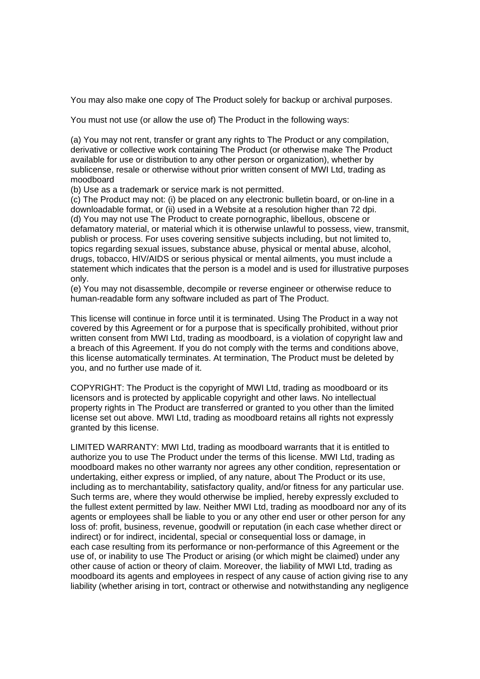You may also make one copy of The Product solely for backup or archival purposes.

You must not use (or allow the use of) The Product in the following ways:

(a) You may not rent, transfer or grant any rights to The Product or any compilation, derivative or collective work containing The Product (or otherwise make The Product available for use or distribution to any other person or organization), whether by sublicense, resale or otherwise without prior written consent of MWI Ltd, trading as moodboard

(b) Use as a trademark or service mark is not permitted.

(c) The Product may not: (i) be placed on any electronic bulletin board, or on-line in a downloadable format, or (ii) used in a Website at a resolution higher than 72 dpi. (d) You may not use The Product to create pornographic, libellous, obscene or defamatory material, or material which it is otherwise unlawful to possess, view, transmit, publish or process. For uses covering sensitive subjects including, but not limited to, topics regarding sexual issues, substance abuse, physical or mental abuse, alcohol, drugs, tobacco, HIV/AIDS or serious physical or mental ailments, you must include a statement which indicates that the person is a model and is used for illustrative purposes only.

(e) You may not disassemble, decompile or reverse engineer or otherwise reduce to human-readable form any software included as part of The Product.

This license will continue in force until it is terminated. Using The Product in a way not covered by this Agreement or for a purpose that is specifically prohibited, without prior written consent from MWI Ltd, trading as moodboard, is a violation of copyright law and a breach of this Agreement. If you do not comply with the terms and conditions above, this license automatically terminates. At termination, The Product must be deleted by you, and no further use made of it.

COPYRIGHT: The Product is the copyright of MWI Ltd, trading as moodboard or its licensors and is protected by applicable copyright and other laws. No intellectual property rights in The Product are transferred or granted to you other than the limited license set out above. MWI Ltd, trading as moodboard retains all rights not expressly granted by this license.

LIMITED WARRANTY: MWI Ltd, trading as moodboard warrants that it is entitled to authorize you to use The Product under the terms of this license. MWI Ltd, trading as moodboard makes no other warranty nor agrees any other condition, representation or undertaking, either express or implied, of any nature, about The Product or its use, including as to merchantability, satisfactory quality, and/or fitness for any particular use. Such terms are, where they would otherwise be implied, hereby expressly excluded to the fullest extent permitted by law. Neither MWI Ltd, trading as moodboard nor any of its agents or employees shall be liable to you or any other end user or other person for any loss of: profit, business, revenue, goodwill or reputation (in each case whether direct or indirect) or for indirect, incidental, special or consequential loss or damage, in each case resulting from its performance or non-performance of this Agreement or the use of, or inability to use The Product or arising (or which might be claimed) under any other cause of action or theory of claim. Moreover, the liability of MWI Ltd, trading as moodboard its agents and employees in respect of any cause of action giving rise to any liability (whether arising in tort, contract or otherwise and notwithstanding any negligence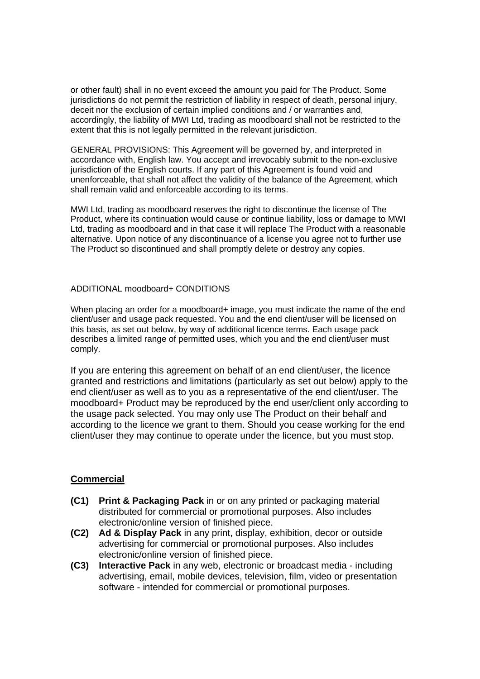or other fault) shall in no event exceed the amount you paid for The Product. Some jurisdictions do not permit the restriction of liability in respect of death, personal injury, deceit nor the exclusion of certain implied conditions and / or warranties and, accordingly, the liability of MWI Ltd, trading as moodboard shall not be restricted to the extent that this is not legally permitted in the relevant jurisdiction.

GENERAL PROVISIONS: This Agreement will be governed by, and interpreted in accordance with, English law. You accept and irrevocably submit to the non-exclusive jurisdiction of the English courts. If any part of this Agreement is found void and unenforceable, that shall not affect the validity of the balance of the Agreement, which shall remain valid and enforceable according to its terms.

MWI Ltd, trading as moodboard reserves the right to discontinue the license of The Product, where its continuation would cause or continue liability, loss or damage to MWI Ltd, trading as moodboard and in that case it will replace The Product with a reasonable alternative. Upon notice of any discontinuance of a license you agree not to further use The Product so discontinued and shall promptly delete or destroy any copies.

### ADDITIONAL moodboard+ CONDITIONS

When placing an order for a moodboard+ image, you must indicate the name of the end client/user and usage pack requested. You and the end client/user will be licensed on this basis, as set out below, by way of additional licence terms. Each usage pack describes a limited range of permitted uses, which you and the end client/user must comply.

If you are entering this agreement on behalf of an end client/user, the licence granted and restrictions and limitations (particularly as set out below) apply to the end client/user as well as to you as a representative of the end client/user. The moodboard+ Product may be reproduced by the end user/client only according to the usage pack selected. You may only use The Product on their behalf and according to the licence we grant to them. Should you cease working for the end client/user they may continue to operate under the licence, but you must stop.

## **Commercial**

- **(C1) Print & Packaging Pack** in or on any printed or packaging material distributed for commercial or promotional purposes. Also includes electronic/online version of finished piece.
- **(C2) Ad & Display Pack** in any print, display, exhibition, decor or outside advertising for commercial or promotional purposes. Also includes electronic/online version of finished piece.
- **(C3) Interactive Pack** in any web, electronic or broadcast media including advertising, email, mobile devices, television, film, video or presentation software - intended for commercial or promotional purposes.